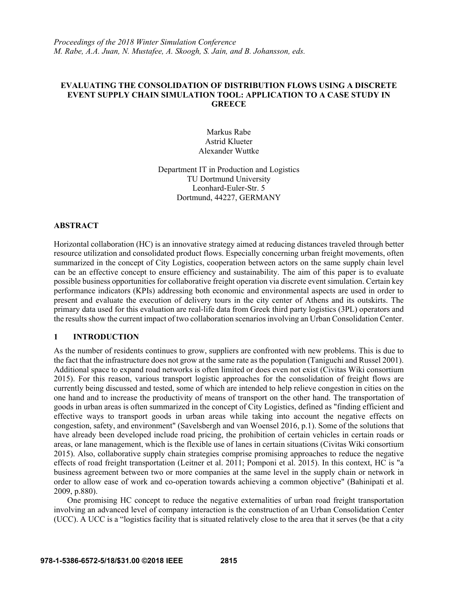*Proceedings of the 2018 Winter Simulation Conference M. Rabe, A.A. Juan, N. Mustafee, A. Skoogh, S. Jain, and B. Johansson, eds.* 

### **EVALUATING THE CONSOLIDATION OF DISTRIBUTION FLOWS USING A DISCRETE EVENT SUPPLY CHAIN SIMULATION TOOL: APPLICATION TO A CASE STUDY IN GREECE**

Markus Rabe Astrid Klueter Alexander Wuttke

Department IT in Production and Logistics TU Dortmund University Leonhard-Euler-Str. 5 Dortmund, 44227, GERMANY

#### **ABSTRACT**

Horizontal collaboration (HC) is an innovative strategy aimed at reducing distances traveled through better resource utilization and consolidated product flows. Especially concerning urban freight movements, often summarized in the concept of City Logistics, cooperation between actors on the same supply chain level can be an effective concept to ensure efficiency and sustainability. The aim of this paper is to evaluate possible business opportunities for collaborative freight operation via discrete event simulation. Certain key performance indicators (KPIs) addressing both economic and environmental aspects are used in order to present and evaluate the execution of delivery tours in the city center of Athens and its outskirts. The primary data used for this evaluation are real-life data from Greek third party logistics (3PL) operators and the results show the current impact of two collaboration scenarios involving an Urban Consolidation Center.

### **1 INTRODUCTION**

As the number of residents continues to grow, suppliers are confronted with new problems. This is due to the fact that the infrastructure does not grow at the same rate as the population (Taniguchi and Russel 2001). Additional space to expand road networks is often limited or does even not exist (Civitas Wiki consortium 2015). For this reason, various transport logistic approaches for the consolidation of freight flows are currently being discussed and tested, some of which are intended to help relieve congestion in cities on the one hand and to increase the productivity of means of transport on the other hand. The transportation of goods in urban areas is often summarized in the concept of City Logistics, defined as "finding efficient and effective ways to transport goods in urban areas while taking into account the negative effects on congestion, safety, and environment" (Savelsbergh and van Woensel 2016, p.1). Some of the solutions that have already been developed include road pricing, the prohibition of certain vehicles in certain roads or areas, or lane management, which is the flexible use of lanes in certain situations (Civitas Wiki consortium 2015). Also, collaborative supply chain strategies comprise promising approaches to reduce the negative effects of road freight transportation (Leitner et al. 2011; Pomponi et al. 2015). In this context, HC is "a business agreement between two or more companies at the same level in the supply chain or network in order to allow ease of work and co-operation towards achieving a common objective" (Bahinipati et al. 2009, p.880).

One promising HC concept to reduce the negative externalities of urban road freight transportation involving an advanced level of company interaction is the construction of an Urban Consolidation Center (UCC). A UCC is a "logistics facility that is situated relatively close to the area that it serves (be that a city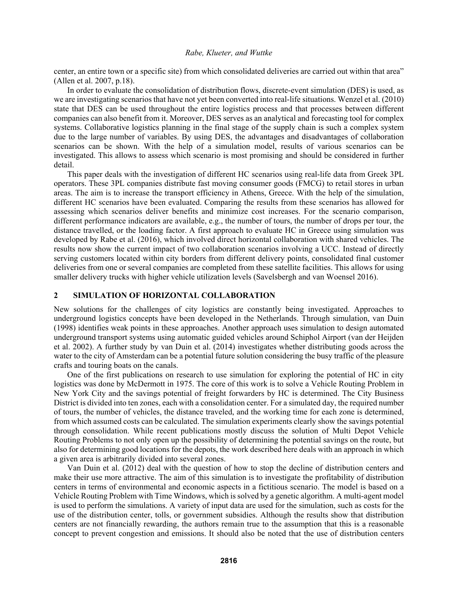center, an entire town or a specific site) from which consolidated deliveries are carried out within that area" (Allen et al. 2007, p.18).

In order to evaluate the consolidation of distribution flows, discrete-event simulation (DES) is used, as we are investigating scenarios that have not yet been converted into real-life situations. Wenzel et al. (2010) state that DES can be used throughout the entire logistics process and that processes between different companies can also benefit from it. Moreover, DES serves as an analytical and forecasting tool for complex systems. Collaborative logistics planning in the final stage of the supply chain is such a complex system due to the large number of variables. By using DES, the advantages and disadvantages of collaboration scenarios can be shown. With the help of a simulation model, results of various scenarios can be investigated. This allows to assess which scenario is most promising and should be considered in further detail.

This paper deals with the investigation of different HC scenarios using real-life data from Greek 3PL operators. These 3PL companies distribute fast moving consumer goods (FMCG) to retail stores in urban areas. The aim is to increase the transport efficiency in Athens, Greece. With the help of the simulation, different HC scenarios have been evaluated. Comparing the results from these scenarios has allowed for assessing which scenarios deliver benefits and minimize cost increases. For the scenario comparison, different performance indicators are available, e.g., the number of tours, the number of drops per tour, the distance travelled, or the loading factor. A first approach to evaluate HC in Greece using simulation was developed by Rabe et al. (2016), which involved direct horizontal collaboration with shared vehicles. The results now show the current impact of two collaboration scenarios involving a UCC. Instead of directly serving customers located within city borders from different delivery points, consolidated final customer deliveries from one or several companies are completed from these satellite facilities. This allows for using smaller delivery trucks with higher vehicle utilization levels (Savelsbergh and van Woensel 2016).

### **2 SIMULATION OF HORIZONTAL COLLABORATION**

New solutions for the challenges of city logistics are constantly being investigated. Approaches to underground logistics concepts have been developed in the Netherlands. Through simulation, van Duin (1998) identifies weak points in these approaches. Another approach uses simulation to design automated underground transport systems using automatic guided vehicles around Schiphol Airport (van der Heijden et al. 2002). A further study by van Duin et al. (2014) investigates whether distributing goods across the water to the city of Amsterdam can be a potential future solution considering the busy traffic of the pleasure crafts and touring boats on the canals.

One of the first publications on research to use simulation for exploring the potential of HC in city logistics was done by McDermott in 1975. The core of this work is to solve a Vehicle Routing Problem in New York City and the savings potential of freight forwarders by HC is determined. The City Business District is divided into ten zones, each with a consolidation center. For a simulated day, the required number of tours, the number of vehicles, the distance traveled, and the working time for each zone is determined, from which assumed costs can be calculated. The simulation experiments clearly show the savings potential through consolidation. While recent publications mostly discuss the solution of Multi Depot Vehicle Routing Problems to not only open up the possibility of determining the potential savings on the route, but also for determining good locations for the depots, the work described here deals with an approach in which a given area is arbitrarily divided into several zones.

Van Duin et al. (2012) deal with the question of how to stop the decline of distribution centers and make their use more attractive. The aim of this simulation is to investigate the profitability of distribution centers in terms of environmental and economic aspects in a fictitious scenario. The model is based on a Vehicle Routing Problem with Time Windows, which is solved by a genetic algorithm. A multi-agent model is used to perform the simulations. A variety of input data are used for the simulation, such as costs for the use of the distribution center, tolls, or government subsidies. Although the results show that distribution centers are not financially rewarding, the authors remain true to the assumption that this is a reasonable concept to prevent congestion and emissions. It should also be noted that the use of distribution centers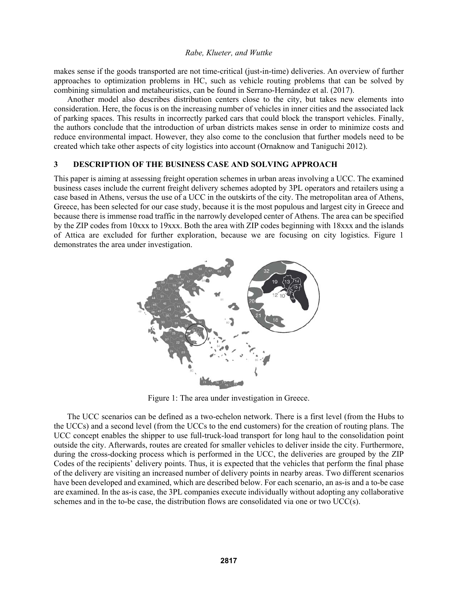makes sense if the goods transported are not time-critical (just-in-time) deliveries. An overview of further approaches to optimization problems in HC, such as vehicle routing problems that can be solved by combining simulation and metaheuristics, can be found in Serrano-Hernández et al. (2017).

Another model also describes distribution centers close to the city, but takes new elements into consideration. Here, the focus is on the increasing number of vehicles in inner cities and the associated lack of parking spaces. This results in incorrectly parked cars that could block the transport vehicles. Finally, the authors conclude that the introduction of urban districts makes sense in order to minimize costs and reduce environmental impact. However, they also come to the conclusion that further models need to be created which take other aspects of city logistics into account (Ornaknow and Taniguchi 2012).

### **3 DESCRIPTION OF THE BUSINESS CASE AND SOLVING APPROACH**

This paper is aiming at assessing freight operation schemes in urban areas involving a UCC. The examined business cases include the current freight delivery schemes adopted by 3PL operators and retailers using a case based in Athens, versus the use of a UCC in the outskirts of the city. The metropolitan area of Athens, Greece, has been selected for our case study, because it is the most populous and largest city in Greece and because there is immense road traffic in the narrowly developed center of Athens. The area can be specified by the ZIP codes from 10xxx to 19xxx. Both the area with ZIP codes beginning with 18xxx and the islands of Attica are excluded for further exploration, because we are focusing on city logistics. Figure 1 demonstrates the area under investigation.



Figure 1: The area under investigation in Greece.

The UCC scenarios can be defined as a two-echelon network. There is a first level (from the Hubs to the UCCs) and a second level (from the UCCs to the end customers) for the creation of routing plans. The UCC concept enables the shipper to use full-truck-load transport for long haul to the consolidation point outside the city. Afterwards, routes are created for smaller vehicles to deliver inside the city. Furthermore, during the cross-docking process which is performed in the UCC, the deliveries are grouped by the ZIP Codes of the recipients' delivery points. Thus, it is expected that the vehicles that perform the final phase of the delivery are visiting an increased number of delivery points in nearby areas. Two different scenarios have been developed and examined, which are described below. For each scenario, an as-is and a to-be case are examined. In the as-is case, the 3PL companies execute individually without adopting any collaborative schemes and in the to-be case, the distribution flows are consolidated via one or two  $UCC(s)$ .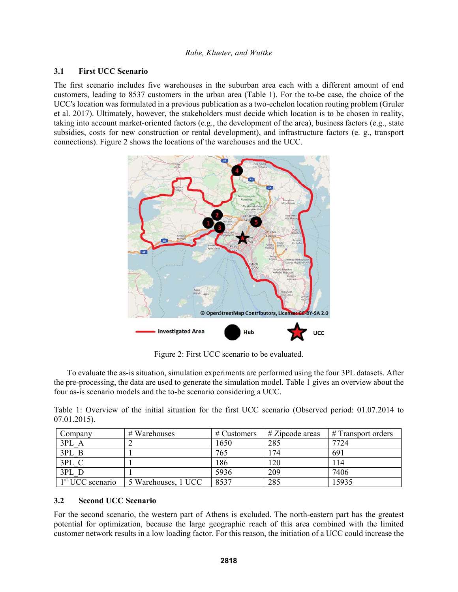### **3.1 First UCC Scenario**

The first scenario includes five warehouses in the suburban area each with a different amount of end customers, leading to 8537 customers in the urban area (Table 1). For the to-be case, the choice of the UCC's location was formulated in a previous publication as a two-echelon location routing problem (Gruler et al. 2017). Ultimately, however, the stakeholders must decide which location is to be chosen in reality, taking into account market-oriented factors (e.g., the development of the area), business factors (e.g., state subsidies, costs for new construction or rental development), and infrastructure factors (e. g., transport connections). Figure 2 shows the locations of the warehouses and the UCC.



Figure 2: First UCC scenario to be evaluated.

To evaluate the as-is situation, simulation experiments are performed using the four 3PL datasets. After the pre-processing, the data are used to generate the simulation model. Table 1 gives an overview about the four as-is scenario models and the to-be scenario considering a UCC.

|                 |  |  |  |  |  | Table 1: Overview of the initial situation for the first UCC scenario (Observed period: 01.07.2014 to |  |  |
|-----------------|--|--|--|--|--|-------------------------------------------------------------------------------------------------------|--|--|
| $07.01.2015$ ). |  |  |  |  |  |                                                                                                       |  |  |

| Company                      | $#$ Warehouses      | # Customers | $#$ Zipcode areas | # Transport orders |
|------------------------------|---------------------|-------------|-------------------|--------------------|
| 3PL A                        |                     | 1650        | 285               | 7724               |
| 3PL B                        |                     | 765         | 174               | 691                |
| 3PL C                        |                     | 186         | 120               | 114                |
| 3PL D                        |                     | 5936        | 209               | 7406               |
| 1 <sup>st</sup> UCC scenario | 5 Warehouses, 1 UCC | 8537        | 285               | 15935              |

#### **3.2 Second UCC Scenario**

For the second scenario, the western part of Athens is excluded. The north-eastern part has the greatest potential for optimization, because the large geographic reach of this area combined with the limited customer network results in a low loading factor. For this reason, the initiation of a UCC could increase the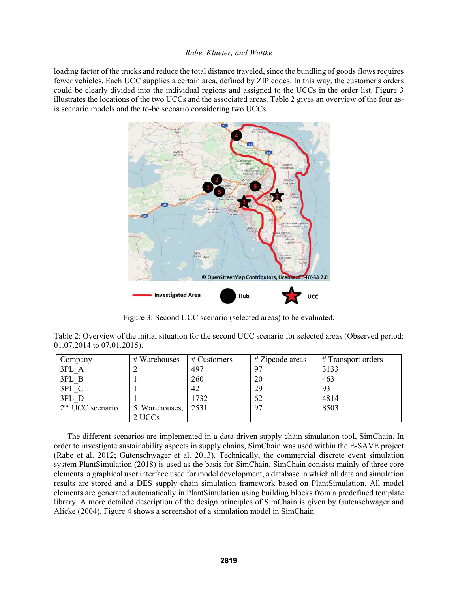loading factor of the trucks and reduce the total distance traveled, since the bundling of goods flows requires fewer vehicles. Each UCC supplies a certain area, defined by ZIP codes. In this way, the customer's orders could be clearly divided into the individual regions and assigned to the UCCs in the order list. Figure 3 illustrates the locations of the two UCCs and the associated areas. Table 2 gives an overview of the four asis scenario models and the to-be scenario considering two UCCs.



Figure 3: Second UCC scenario (selected areas) to be evaluated.

Table 2: Overview of the initial situation for the second UCC scenario for selected areas (Observed period: 01.07.2014 to 07.01.2015).

| Company            | # Warehouses  | $\#$ Customers | $\#$ Zipcode areas | $#$ Transport orders |
|--------------------|---------------|----------------|--------------------|----------------------|
| 3PL A              |               | 497            |                    | 3133                 |
| 3PL B              |               | 260            | 20                 | 463                  |
| 3PL C              |               | 42             | 29                 | 93                   |
| 3PL D              |               | 1732           | 62                 | 4814                 |
| $2nd UCC$ scenario | 5 Warehouses, | 2531           | 97                 | 8503                 |
|                    | 2 UCCs        |                |                    |                      |

The different scenarios are implemented in a data-driven supply chain simulation tool, SimChain. In order to investigate sustainability aspects in supply chains, SimChain was used within the E-SAVE project (Rabe et al. 2012; Gutenschwager et al. 2013). Technically, the commercial discrete event simulation system PlantSimulation (2018) is used as the basis for SimChain. SimChain consists mainly of three core elements: a graphical user interface used for model development, a database in which all data and simulation results are stored and a DES supply chain simulation framework based on PlantSimulation. All model elements are generated automatically in PlantSimulation using building blocks from a predefined template library. A more detailed description of the design principles of SimChain is given by Gutenschwager and Alicke (2004). Figure 4 shows a screenshot of a simulation model in SimChain.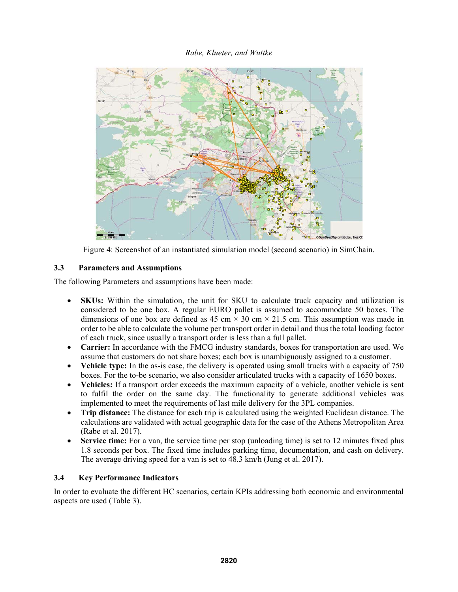

Figure 4: Screenshot of an instantiated simulation model (second scenario) in SimChain.

## **3.3 Parameters and Assumptions**

The following Parameters and assumptions have been made:

- **SKUs:** Within the simulation, the unit for SKU to calculate truck capacity and utilization is considered to be one box. A regular EURO pallet is assumed to accommodate 50 boxes. The dimensions of one box are defined as 45 cm  $\times$  30 cm  $\times$  21.5 cm. This assumption was made in order to be able to calculate the volume per transport order in detail and thus the total loading factor of each truck, since usually a transport order is less than a full pallet.
- **Carrier:** In accordance with the FMCG industry standards, boxes for transportation are used. We assume that customers do not share boxes; each box is unambiguously assigned to a customer.
- **Vehicle type:** In the as-is case, the delivery is operated using small trucks with a capacity of 750 boxes. For the to-be scenario, we also consider articulated trucks with a capacity of 1650 boxes.
- **Vehicles:** If a transport order exceeds the maximum capacity of a vehicle, another vehicle is sent to fulfil the order on the same day. The functionality to generate additional vehicles was implemented to meet the requirements of last mile delivery for the 3PL companies.
- **Trip distance:** The distance for each trip is calculated using the weighted Euclidean distance. The calculations are validated with actual geographic data for the case of the Athens Metropolitan Area (Rabe et al. 2017).
- **Service time:** For a van, the service time per stop (unloading time) is set to 12 minutes fixed plus 1.8 seconds per box. The fixed time includes parking time, documentation, and cash on delivery. The average driving speed for a van is set to 48.3 km/h (Jung et al. 2017).

### **3.4 Key Performance Indicators**

In order to evaluate the different HC scenarios, certain KPIs addressing both economic and environmental aspects are used (Table 3).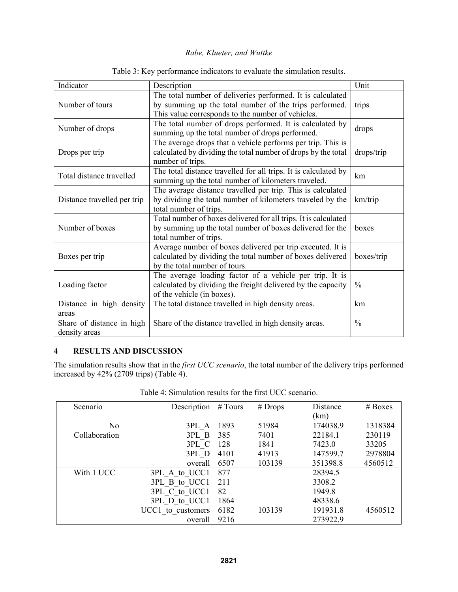| Indicator                                  | Description                                                                                                                                                               | Unit          |
|--------------------------------------------|---------------------------------------------------------------------------------------------------------------------------------------------------------------------------|---------------|
| Number of tours                            | The total number of deliveries performed. It is calculated<br>by summing up the total number of the trips performed.<br>This value corresponds to the number of vehicles. | trips         |
| Number of drops                            | The total number of drops performed. It is calculated by<br>summing up the total number of drops performed.                                                               | drops         |
| Drops per trip                             | The average drops that a vehicle performs per trip. This is<br>calculated by dividing the total number of drops by the total<br>number of trips.                          | drops/trip    |
| Total distance travelled                   | The total distance travelled for all trips. It is calculated by<br>summing up the total number of kilometers traveled.                                                    | km            |
| Distance travelled per trip                | The average distance travelled per trip. This is calculated<br>by dividing the total number of kilometers traveled by the<br>total number of trips.                       | km/trip       |
| Number of boxes                            | Total number of boxes delivered for all trips. It is calculated<br>by summing up the total number of boxes delivered for the<br>total number of trips.                    | boxes         |
| Boxes per trip                             | Average number of boxes delivered per trip executed. It is<br>calculated by dividing the total number of boxes delivered<br>by the total number of tours.                 | boxes/trip    |
| Loading factor                             | The average loading factor of a vehicle per trip. It is<br>calculated by dividing the freight delivered by the capacity<br>of the vehicle (in boxes).                     | $\frac{0}{0}$ |
| Distance in high density<br>areas          | The total distance travelled in high density areas.                                                                                                                       | km            |
| Share of distance in high<br>density areas | Share of the distance travelled in high density areas.                                                                                                                    | $\frac{0}{0}$ |

Table 3: Key performance indicators to evaluate the simulation results.

# **4 RESULTS AND DISCUSSION**

The simulation results show that in the *first UCC scenario*, the total number of the delivery trips performed increased by 42% (2709 trips) (Table 4).

| Scenario       | Description       | # Tours | $#$ Drops | Distance | $# \, \text{Boxes}$ |
|----------------|-------------------|---------|-----------|----------|---------------------|
|                |                   |         |           | (km)     |                     |
| N <sub>o</sub> | 3PL A             | 1893    | 51984     | 174038.9 | 1318384             |
| Collaboration  | 3PL B             | 385     | 7401      | 22184.1  | 230119              |
|                | 3PL C             | 128     | 1841      | 7423.0   | 33205               |
|                | 3PL D             | 4101    | 41913     | 147599.7 | 2978804             |
|                | overall           | 6507    | 103139    | 351398.8 | 4560512             |
| With 1 UCC     | 3PL A to UCC1     | 877     |           | 28394.5  |                     |
|                | 3PL B to UCC1     | 211     |           | 3308.2   |                     |
|                | 3PL C to UCC1     | 82      |           | 1949.8   |                     |
|                | 3PL D to UCC1     | 1864    |           | 48338.6  |                     |
|                | UCC1 to customers | 6182    | 103139    | 191931.8 | 4560512             |
|                | overall           | 9216    |           | 273922.9 |                     |

Table 4: Simulation results for the first UCC scenario.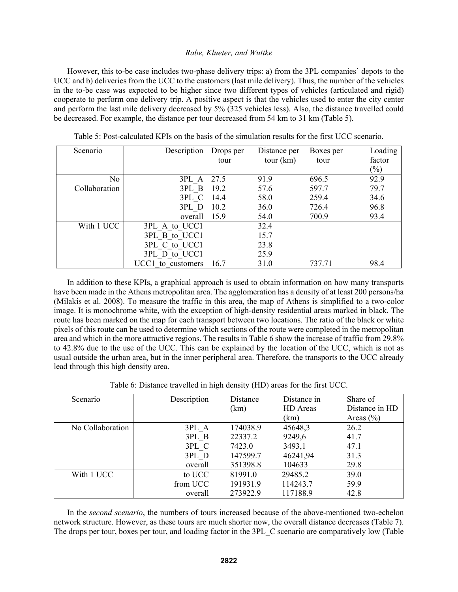However, this to-be case includes two-phase delivery trips: a) from the 3PL companies' depots to the UCC and b) deliveries from the UCC to the customers (last mile delivery). Thus, the number of the vehicles in the to-be case was expected to be higher since two different types of vehicles (articulated and rigid) cooperate to perform one delivery trip. A positive aspect is that the vehicles used to enter the city center and perform the last mile delivery decreased by 5% (325 vehicles less). Also, the distance travelled could be decreased. For example, the distance per tour decreased from 54 km to 31 km (Table 5).

| Scenario      | Description       | Drops per | Distance per | Boxes per | Loading                    |
|---------------|-------------------|-----------|--------------|-----------|----------------------------|
|               |                   | tour      | tour (km)    | tour      | factor                     |
|               |                   |           |              |           | $\left(\frac{0}{0}\right)$ |
| No            | 3PL A 27.5        |           | 91.9         | 696.5     | 92.9                       |
| Collaboration | 3PL B 19.2        |           | 57.6         | 597.7     | 79.7                       |
|               | 3PL C             | 14.4      | 58.0         | 259.4     | 34.6                       |
|               | 3PL D             | 10.2      | 36.0         | 726.4     | 96.8                       |
|               | overall           | 15.9      | 54.0         | 700.9     | 93.4                       |
| With 1 UCC    | 3PL A to UCC1     |           | 32.4         |           |                            |
|               | 3PL B to UCC1     |           | 15.7         |           |                            |
|               | 3PL C to UCC1     |           | 23.8         |           |                            |
|               | 3PL D to UCC1     |           | 25.9         |           |                            |
|               | UCC1 to customers | 16.7      | 31.0         | 737.71    | 98.4                       |

Table 5: Post-calculated KPIs on the basis of the simulation results for the first UCC scenario.

In addition to these KPIs, a graphical approach is used to obtain information on how many transports have been made in the Athens metropolitan area. The agglomeration has a density of at least 200 persons/ha (Milakis et al. 2008). To measure the traffic in this area, the map of Athens is simplified to a two-color image. It is monochrome white, with the exception of high-density residential areas marked in black. The route has been marked on the map for each transport between two locations. The ratio of the black or white pixels of this route can be used to determine which sections of the route were completed in the metropolitan area and which in the more attractive regions. The results in Table 6 show the increase of traffic from 29.8% to 42.8% due to the use of the UCC. This can be explained by the location of the UCC, which is not as usual outside the urban area, but in the inner peripheral area. Therefore, the transports to the UCC already lead through this high density area.

Table 6: Distance travelled in high density (HD) areas for the first UCC.

| Scenario         | Description | Distance | Distance in | Share of       |
|------------------|-------------|----------|-------------|----------------|
|                  |             | (km)     | HD Areas    | Distance in HD |
|                  |             |          | (km)        | Areas $(\% )$  |
| No Collaboration | 3PL A       | 174038.9 | 45648,3     | 26.2           |
|                  | 3PL B       | 22337.2  | 9249,6      | 41.7           |
|                  | 3PL C       | 7423.0   | 3493,1      | 47.1           |
|                  | 3PL D       | 147599.7 | 46241,94    | 31.3           |
|                  | overall     | 351398.8 | 104633      | 29.8           |
| With 1 UCC       | to UCC      | 81991.0  | 29485.2     | 39.0           |
|                  | from UCC    | 191931.9 | 114243.7    | 59.9           |
|                  | overall     | 273922.9 | 117188.9    | 42.8           |

In the *second scenario*, the numbers of tours increased because of the above-mentioned two-echelon network structure. However, as these tours are much shorter now, the overall distance decreases (Table 7). The drops per tour, boxes per tour, and loading factor in the 3PL\_C scenario are comparatively low (Table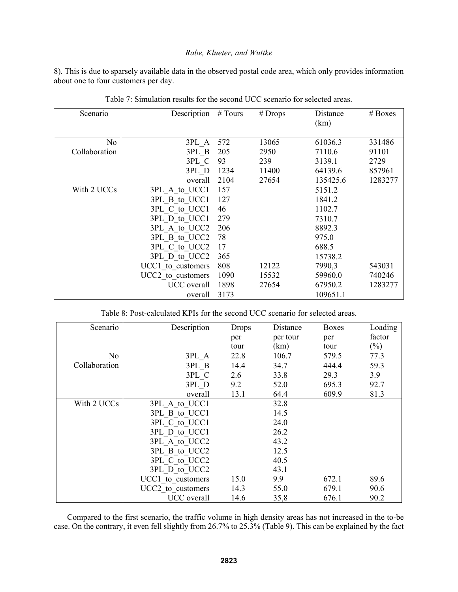8). This is due to sparsely available data in the observed postal code area, which only provides information about one to four customers per day.

| Scenario      | Description       | # Tours | $#$ Drops | Distance<br>(km) | $# \text{Boxes}$ |
|---------------|-------------------|---------|-----------|------------------|------------------|
| No            | 3PL A             | 572     | 13065     | 61036.3          | 331486           |
| Collaboration | 3PL B             | 205     | 2950      | 7110.6           | 91101            |
|               | 3PL C             | 93      | 239       | 3139.1           | 2729             |
|               | 3PL D             | 1234    | 11400     | 64139.6          | 857961           |
|               | overall           | 2104    | 27654     | 135425.6         | 1283277          |
| With 2 UCCs   | 3PL A to UCC1     | 157     |           | 5151.2           |                  |
|               | 3PL B to UCC1     | 127     |           | 1841.2           |                  |
|               | 3PL C to UCC1     | 46      |           | 1102.7           |                  |
|               | 3PL D to UCC1     | 279     |           | 7310.7           |                  |
|               | 3PL A to UCC2     | 206     |           | 8892.3           |                  |
|               | 3PL B to UCC2     | 78      |           | 975.0            |                  |
|               | 3PL C to UCC2     | 17      |           | 688.5            |                  |
|               | 3PL D to UCC2     | 365     |           | 15738.2          |                  |
|               | UCC1 to customers | 808     | 12122     | 7990,3           | 543031           |
|               | UCC2 to customers | 1090    | 15532     | 59960,0          | 740246           |
|               | UCC overall       | 1898    | 27654     | 67950.2          | 1283277          |
|               | overall           | 3173    |           | 109651.1         |                  |

Table 7: Simulation results for the second UCC scenario for selected areas.

|  |  |  |  |  | Table 8: Post-calculated KPIs for the second UCC scenario for selected areas. |
|--|--|--|--|--|-------------------------------------------------------------------------------|
|--|--|--|--|--|-------------------------------------------------------------------------------|

| Scenario      | Description       | Drops | Distance | <b>Boxes</b> | Loading |
|---------------|-------------------|-------|----------|--------------|---------|
|               |                   | per   | per tour | per          | factor  |
|               |                   | tour  | (km)     | tour         | $(\%)$  |
| No            | 3PL A             | 22.8  | 106.7    | 579.5        | 77.3    |
| Collaboration | 3PL B             | 14.4  | 34.7     | 444.4        | 59.3    |
|               | 3PL C             | 2.6   | 33.8     | 29.3         | 3.9     |
|               | 3PL D             | 9.2   | 52.0     | 695.3        | 92.7    |
|               | overall           | 13.1  | 64.4     | 609.9        | 81.3    |
| With 2 UCCs   | 3PL A to UCC1     |       | 32.8     |              |         |
|               | 3PL B to UCC1     |       | 14.5     |              |         |
|               | 3PL C to UCC1     |       | 24.0     |              |         |
|               | 3PL D to UCC1     |       | 26.2     |              |         |
|               | 3PL A to UCC2     |       | 43.2     |              |         |
|               | 3PL B to UCC2     |       | 12.5     |              |         |
|               | 3PL C to UCC2     |       | 40.5     |              |         |
|               | 3PL D to UCC2     |       | 43.1     |              |         |
|               | UCC1 to customers | 15.0  | 9.9      | 672.1        | 89.6    |
|               | UCC2 to customers | 14.3  | 55.0     | 679.1        | 90.6    |
|               | UCC overall       | 14.6  | 35,8     | 676.1        | 90.2    |

Compared to the first scenario, the traffic volume in high density areas has not increased in the to-be case. On the contrary, it even fell slightly from 26.7% to 25.3% (Table 9). This can be explained by the fact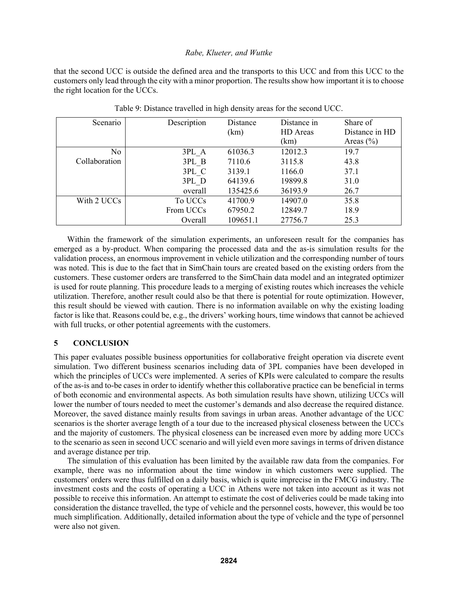that the second UCC is outside the defined area and the transports to this UCC and from this UCC to the customers only lead through the city with a minor proportion. The results show how important it is to choose the right location for the UCCs.

| Scenario       | Description | Distance | Distance in | Share of       |
|----------------|-------------|----------|-------------|----------------|
|                |             | (km)     | HD Areas    | Distance in HD |
|                |             |          | (km)        | Areas $(\% )$  |
| N <sub>o</sub> | 3PL A       | 61036.3  | 12012.3     | 19.7           |
| Collaboration  | 3PL B       | 7110.6   | 3115.8      | 43.8           |
|                | 3PL C       | 3139.1   | 1166.0      | 37.1           |
|                | 3PL D       | 64139.6  | 19899.8     | 31.0           |
|                | overall     | 135425.6 | 36193.9     | 26.7           |
| With 2 UCCs    | To UCCs     | 41700.9  | 14907.0     | 35.8           |
|                | From UCCs   | 67950.2  | 12849.7     | 18.9           |
|                | Overall     | 109651.1 | 27756.7     | 25.3           |

Table 9: Distance travelled in high density areas for the second UCC.

Within the framework of the simulation experiments, an unforeseen result for the companies has emerged as a by-product. When comparing the processed data and the as-is simulation results for the validation process, an enormous improvement in vehicle utilization and the corresponding number of tours was noted. This is due to the fact that in SimChain tours are created based on the existing orders from the customers. These customer orders are transferred to the SimChain data model and an integrated optimizer is used for route planning. This procedure leads to a merging of existing routes which increases the vehicle utilization. Therefore, another result could also be that there is potential for route optimization. However, this result should be viewed with caution. There is no information available on why the existing loading factor is like that. Reasons could be, e.g., the drivers' working hours, time windows that cannot be achieved with full trucks, or other potential agreements with the customers.

# **5 CONCLUSION**

This paper evaluates possible business opportunities for collaborative freight operation via discrete event simulation. Two different business scenarios including data of 3PL companies have been developed in which the principles of UCCs were implemented. A series of KPIs were calculated to compare the results of the as-is and to-be cases in order to identify whether this collaborative practice can be beneficial in terms of both economic and environmental aspects. As both simulation results have shown, utilizing UCCs will lower the number of tours needed to meet the customer's demands and also decrease the required distance. Moreover, the saved distance mainly results from savings in urban areas. Another advantage of the UCC scenarios is the shorter average length of a tour due to the increased physical closeness between the UCCs and the majority of customers. The physical closeness can be increased even more by adding more UCCs to the scenario as seen in second UCC scenario and will yield even more savings in terms of driven distance and average distance per trip.

The simulation of this evaluation has been limited by the available raw data from the companies. For example, there was no information about the time window in which customers were supplied. The customers' orders were thus fulfilled on a daily basis, which is quite imprecise in the FMCG industry. The investment costs and the costs of operating a UCC in Athens were not taken into account as it was not possible to receive this information. An attempt to estimate the cost of deliveries could be made taking into consideration the distance travelled, the type of vehicle and the personnel costs, however, this would be too much simplification. Additionally, detailed information about the type of vehicle and the type of personnel were also not given.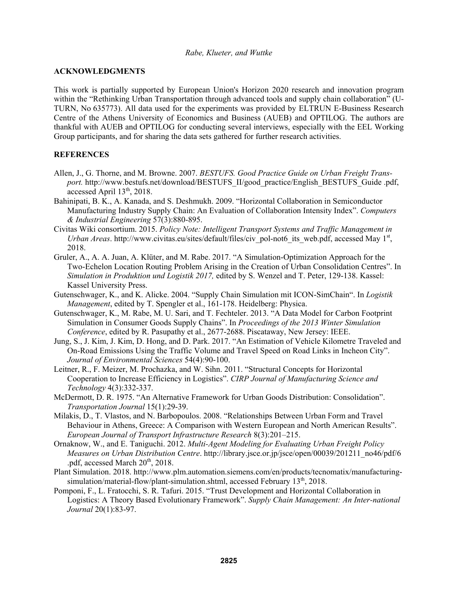#### **ACKNOWLEDGMENTS**

This work is partially supported by European Union's Horizon 2020 research and innovation program within the "Rethinking Urban Transportation through advanced tools and supply chain collaboration" (U-TURN, No 635773). All data used for the experiments was provided by ELTRUN E-Business Research Centre of the Athens University of Economics and Business (AUEB) and OPTILOG. The authors are thankful with AUEB and OPTILOG for conducting several interviews, especially with the EEL Working Group participants, and for sharing the data sets gathered for further research activities.

### **REFERENCES**

- Allen, J., G. Thorne, and M. Browne. 2007. *BESTUFS. Good Practice Guide on Urban Freight Trans*port. http://www.bestufs.net/download/BESTUFS\_II/good\_practice/English\_BESTUFS\_Guide .pdf, accessed April 13<sup>th</sup>, 2018.
- Bahinipati, B. K., A. Kanada, and S. Deshmukh. 2009. "Horizontal Collaboration in Semiconductor Manufacturing Industry Supply Chain: An Evaluation of Collaboration Intensity Index". *Computers & Industrial Engineering* 57(3):880-895.
- Civitas Wiki consortium. 2015. *Policy Note: Intelligent Transport Systems and Traffic Management in Urban Areas*. http://www.civitas.eu/sites/default/files/civ\_pol-not6\_its\_web.pdf, accessed May 1<sup>st</sup>, 2018.
- Gruler, A., A. A. Juan, A. Klüter, and M. Rabe. 2017. "A Simulation-Optimization Approach for the Two-Echelon Location Routing Problem Arising in the Creation of Urban Consolidation Centres". In *Simulation in Produktion und Logistik 2017,* edited by S. Wenzel and T. Peter, 129-138. Kassel: Kassel University Press.
- Gutenschwager, K., and K. Alicke. 2004. "Supply Chain Simulation mit ICON-SimChain". In *Logistik Management*, edited by T. Spengler et al., 161-178. Heidelberg: Physica.
- Gutenschwager, K., M. Rabe, M. U. Sari, and T. Fechteler. 2013. "A Data Model for Carbon Footprint Simulation in Consumer Goods Supply Chains". In *Proceedings of the 2013 Winter Simulation Conference*, edited by R. Pasupathy et al., 2677-2688. Piscataway, New Jersey: IEEE.
- Jung, S., J. Kim, J. Kim, D. Hong, and D. Park. 2017. "An Estimation of Vehicle Kilometre Traveled and On-Road Emissions Using the Traffic Volume and Travel Speed on Road Links in Incheon City". *Journal of Environmental Sciences* 54(4):90-100.
- Leitner, R., F. Meizer, M. Prochazka, and W. Sihn. 2011. "Structural Concepts for Horizontal Cooperation to Increase Efficiency in Logistics". *CIRP Journal of Manufacturing Science and Technology* 4(3):332-337.
- McDermott, D. R. 1975. "An Alternative Framework for Urban Goods Distribution: Consolidation". *Transportation Journal* 15(1):29-39.
- Milakis, D., T. Vlastos, and N. Barbopoulos. 2008. "Relationships Between Urban Form and Travel Behaviour in Athens, Greece: A Comparison with Western European and North American Results". *European Journal of Transport Infrastructure Research* 8(3):201–215.
- Ornaknow, W., and E. Taniguchi. 2012. *Multi-Agent Modeling for Evaluating Urban Freight Policy Measures on Urban Distribution Centre*. http://library.jsce.or.jp/jsce/open/00039/201211\_no46/pdf/6 .pdf, accessed March 20<sup>th</sup>, 2018.
- Plant Simulation. 2018. http://www.plm.automation.siemens.com/en/products/tecnomatix/manufacturingsimulation/material-flow/plant-simulation.shtml, accessed February 13<sup>th</sup>, 2018.
- Pomponi, F., L. Fratocchi, S. R. Tafuri. 2015. "Trust Development and Horizontal Collaboration in Logistics: A Theory Based Evolutionary Framework". *Supply Chain Management: An Inter-national Journal* 20(1):83-97.